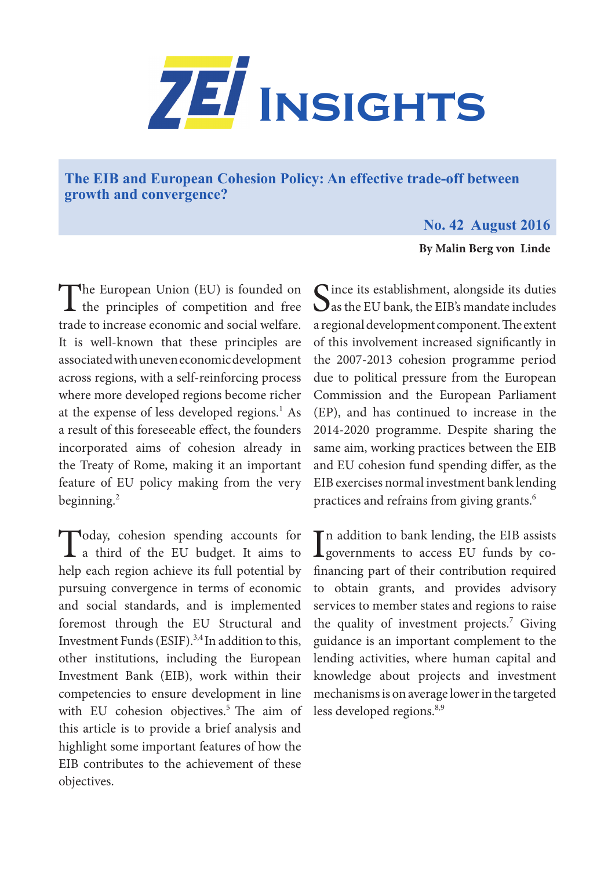

**The EIB and European Cohesion Policy: An effective trade-off between growth and convergence?**

## **No. 42 August 2016**

**By Malin Berg von Linde**

The European Union (EU) is founded on<br>the principles of competition and free trade to increase economic and social welfare. It is well-known that these principles are associated with uneven economic development across regions, with a self-reinforcing process where more developed regions become richer at the expense of less developed regions.<sup>1</sup> As a result of this foreseeable effect, the founders incorporated aims of cohesion already in the Treaty of Rome, making it an important feature of EU policy making from the very beginning. $^{2}$ 

Today, cohesion spending accounts for<br>
a third of the EU budget. It aims to help each region achieve its full potential by pursuing convergence in terms of economic and social standards, and is implemented foremost through the EU Structural and Investment Funds (ESIF). $3,4$  In addition to this, other institutions, including the European Investment Bank (EIB), work within their competencies to ensure development in line with EU cohesion objectives.<sup>5</sup> The aim of this article is to provide a brief analysis and highlight some important features of how the EIB contributes to the achievement of these objectives.

Since its establishment, alongside its duties<br>
as the EU bank, the EIB's mandate includes a regional development component. The extent of this involvement increased significantly in the 2007-2013 cohesion programme period due to political pressure from the European Commission and the European Parliament (EP), and has continued to increase in the 2014-2020 programme. Despite sharing the same aim, working practices between the EIB and EU cohesion fund spending differ, as the EIB exercises normal investment bank lending practices and refrains from giving grants.<sup>6</sup>

In addition to bank lending, the EIB assists<br>governments to access EU funds by co-**T** n addition to bank lending, the EIB assists financing part of their contribution required to obtain grants, and provides advisory services to member states and regions to raise the quality of investment projects.<sup>7</sup> Giving guidance is an important complement to the lending activities, where human capital and knowledge about projects and investment mechanisms is on average lower in the targeted less developed regions.<sup>8,9</sup>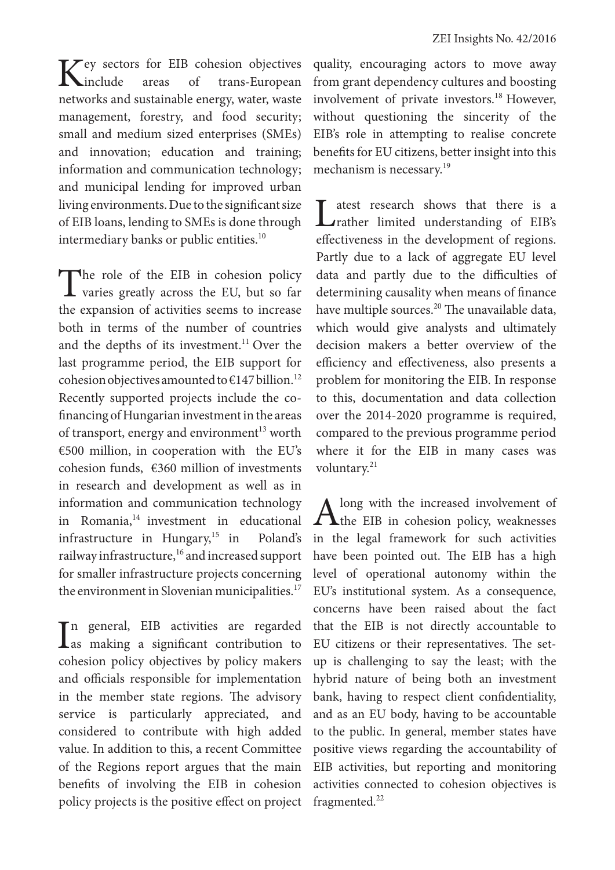Key sectors for EIB cohesion objectives<br>
Kinclude areas of trans-European trans-European networks and sustainable energy, water, waste management, forestry, and food security; small and medium sized enterprises (SMEs) and innovation; education and training; information and communication technology; and municipal lending for improved urban living environments. Due to the significant size of EIB loans, lending to SMEs is done through intermediary banks or public entities.<sup>10</sup>

The role of the EIB in cohesion policy<br>varies greatly across the EU, but so far the expansion of activities seems to increase both in terms of the number of countries and the depths of its investment.<sup>11</sup> Over the last programme period, the EIB support for cohesion objectives amounted to  $\epsilon$ 147 billion.<sup>12</sup> Recently supported projects include the cofinancing of Hungarian investment in the areas of transport, energy and environment<sup>13</sup> worth €500 million, in cooperation with the EU's cohesion funds, €360 million of investments in research and development as well as in information and communication technology in Romania, $14$  investment in educational infrastructure in Hungary, $15$  in Poland's railway infrastructure,<sup>16</sup> and increased support for smaller infrastructure projects concerning the environment in Slovenian municipalities.<sup>17</sup>

In general, EIB activities are regarded<br>as making a significant contribution to n general, EIB activities are regarded cohesion policy objectives by policy makers and officials responsible for implementation in the member state regions. The advisory service is particularly appreciated, and considered to contribute with high added value. In addition to this, a recent Committee of the Regions report argues that the main benefits of involving the EIB in cohesion policy projects is the positive effect on project

quality, encouraging actors to move away from grant dependency cultures and boosting involvement of private investors.<sup>18</sup> However, without questioning the sincerity of the EIB's role in attempting to realise concrete benefits for EU citizens, better insight into this mechanism is necessary.<sup>19</sup>

Latest research shows that there is a crather limited understanding of EIB's effectiveness in the development of regions. Partly due to a lack of aggregate EU level data and partly due to the difficulties of determining causality when means of finance have multiple sources.<sup>20</sup> The unavailable data, which would give analysts and ultimately decision makers a better overview of the efficiency and effectiveness, also presents a problem for monitoring the EIB. In response to this, documentation and data collection over the 2014-2020 programme is required, compared to the previous programme period where it for the EIB in many cases was voluntary.<sup>21</sup>

Along with the increased involvement of the EIB in cohesion policy, weaknesses in the legal framework for such activities have been pointed out. The EIB has a high level of operational autonomy within the EU's institutional system. As a consequence, concerns have been raised about the fact that the EIB is not directly accountable to EU citizens or their representatives. The setup is challenging to say the least; with the hybrid nature of being both an investment bank, having to respect client confidentiality, and as an EU body, having to be accountable to the public. In general, member states have positive views regarding the accountability of EIB activities, but reporting and monitoring activities connected to cohesion objectives is fragmented. $^{22}$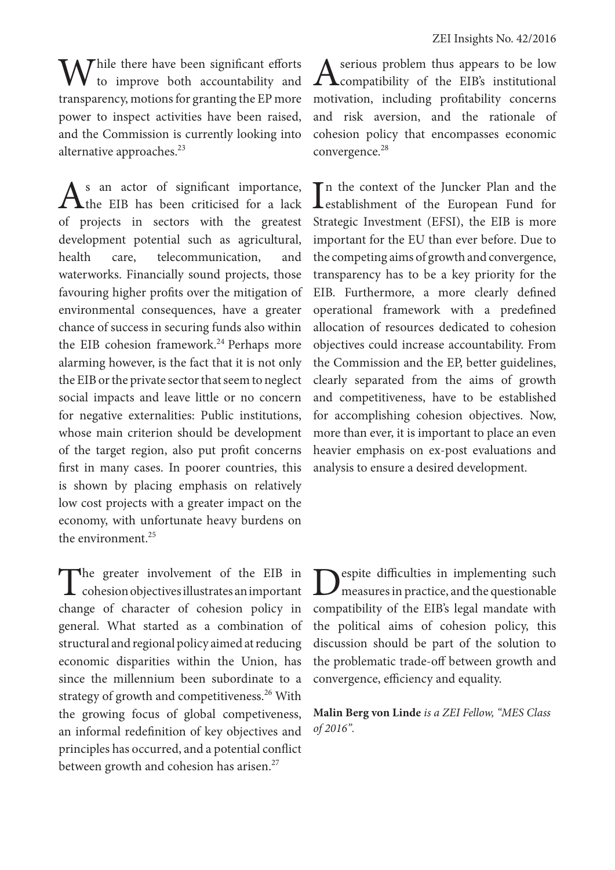$\sum$  Thile there have been significant efforts to improve both accountability and transparency, motions for granting the EP more power to inspect activities have been raised, and the Commission is currently looking into alternative approaches.<sup>23</sup>

 $A<sup>s</sup>$  an actor of significant importance, the EIB has been criticised for a lack of projects in sectors with the greatest development potential such as agricultural, health care, telecommunication, and waterworks. Financially sound projects, those favouring higher profits over the mitigation of environmental consequences, have a greater chance of success in securing funds also within the EIB cohesion framework.<sup>24</sup> Perhaps more alarming however, is the fact that it is not only the EIB or the private sector that seem to neglect social impacts and leave little or no concern for negative externalities: Public institutions, whose main criterion should be development of the target region, also put profit concerns first in many cases. In poorer countries, this is shown by placing emphasis on relatively low cost projects with a greater impact on the economy, with unfortunate heavy burdens on the environment.<sup>25</sup>

The greater involvement of the EIB in<br>
cohesion objectives illustrates an important change of character of cohesion policy in general. What started as a combination of structural and regional policy aimed at reducing economic disparities within the Union, has since the millennium been subordinate to a strategy of growth and competitiveness.<sup>26</sup> With the growing focus of global competiveness, an informal redefinition of key objectives and principles has occurred, and a potential conflict between growth and cohesion has arisen.<sup>27</sup>

A serious problem thus appears to be low<br>
compatibility of the EIB's institutional motivation, including profitability concerns and risk aversion, and the rationale of cohesion policy that encompasses economic convergence.<sup>28</sup>

In the context of the Juncker Plan and the<br>
establishment of the European Fund for n the context of the Juncker Plan and the Strategic Investment (EFSI), the EIB is more important for the EU than ever before. Due to the competing aims of growth and convergence, transparency has to be a key priority for the EIB. Furthermore, a more clearly defined operational framework with a predefined allocation of resources dedicated to cohesion objectives could increase accountability. From the Commission and the EP, better guidelines, clearly separated from the aims of growth and competitiveness, have to be established for accomplishing cohesion objectives. Now, more than ever, it is important to place an even heavier emphasis on ex-post evaluations and analysis to ensure a desired development.

Despite difficulties in implementing such measures in practice, and the questionable compatibility of the EIB's legal mandate with the political aims of cohesion policy, this discussion should be part of the solution to the problematic trade-off between growth and convergence, efficiency and equality.

**Malin Berg von Linde** *is a ZEI Fellow, "MES Class of 2016".*